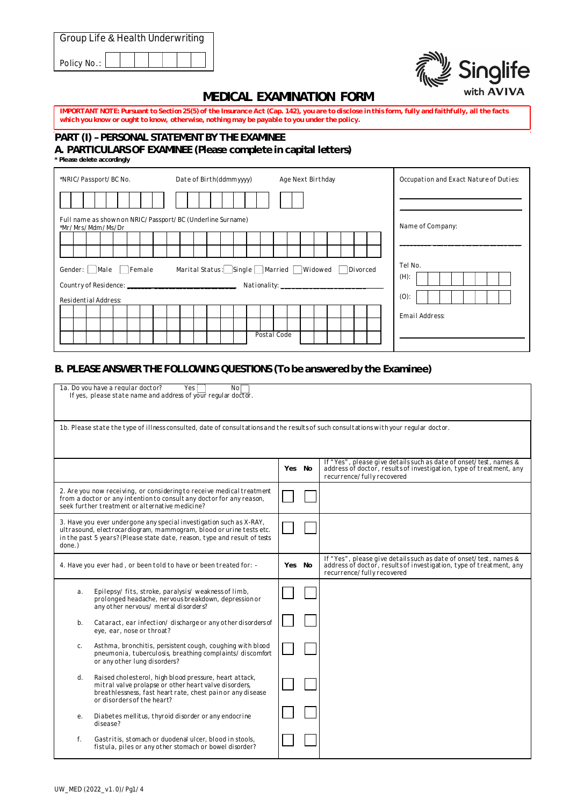| Group Life & Health Underwriting |  |  |  |  |  |  |  |  |
|----------------------------------|--|--|--|--|--|--|--|--|
| Policy No.:                      |  |  |  |  |  |  |  |  |



## **MEDICAL EXAMINATION FORM**

IMPORTANT NOTE: Pursuant to Section 25(5) of the Insurance Act (Cap. 142), you are to disclose in this form, fully and faithfully, all the facts **which you know or ought to know, otherwise, nothing may be payable to you under the policy.**

#### **PART (I) - PERSONAL STATEMENT BY THE EXAMINEE**

#### **A. PARTICULARS OF EXAMINEE (Please complete in capital letters)**

|  |  |  | * Please delete accordingly |  |
|--|--|--|-----------------------------|--|
|--|--|--|-----------------------------|--|

| *NRIC/Passport/BC No.                                                           | Date of Birth(ddmmyyyy) | Age Next Birthday              | Occupation and Exact Nature of Duties: |
|---------------------------------------------------------------------------------|-------------------------|--------------------------------|----------------------------------------|
|                                                                                 |                         |                                |                                        |
| Full name as shown on NRIC/Passport/BC (Underline Surname)<br>*Mr/Mrs/Mdm/Ms/Dr | Name of Company:        |                                |                                        |
|                                                                                 |                         |                                |                                        |
|                                                                                 |                         |                                |                                        |
| Female<br>Gender:  <br>Male                                                     | Tel No.<br>(H):         |                                |                                        |
|                                                                                 |                         | Nationality: _________________ |                                        |
| <b>Residential Address:</b>                                                     |                         |                                | $(0)$ :                                |
|                                                                                 |                         |                                | <b>Email Address:</b>                  |
|                                                                                 |                         |                                |                                        |
|                                                                                 | Postal Code             |                                |                                        |

### **B. PLEASE ANSWER THE FOLLOWING QUESTIONS (To be answered by the Examinee)**

| 1a. Do vou have a regular doctor?<br>Yes<br>No<br>If yes, please state name and address of your regular doctor.                       |                                                                                                                                                                                                                         |        |  |                                                                                                                                                                        |  |  |  |  |
|---------------------------------------------------------------------------------------------------------------------------------------|-------------------------------------------------------------------------------------------------------------------------------------------------------------------------------------------------------------------------|--------|--|------------------------------------------------------------------------------------------------------------------------------------------------------------------------|--|--|--|--|
| 1b. Please state the type of illness consulted, date of consultations and the results of such consultations with your regular doctor. |                                                                                                                                                                                                                         |        |  |                                                                                                                                                                        |  |  |  |  |
|                                                                                                                                       |                                                                                                                                                                                                                         | Yes No |  | If "Yes", please give details such as date of onset/test, names &<br>address of doctor, results of investigation, type of treatment, any<br>recurrence/fully recovered |  |  |  |  |
|                                                                                                                                       | 2. Are you now receiving, or considering to receive medical treatment<br>from a doctor or any intention to consult any doctor for any reason,<br>seek further treatment or alternative medicine?                        |        |  |                                                                                                                                                                        |  |  |  |  |
| done.)                                                                                                                                | 3. Have you ever undergone any special investigation such as X-RAY,<br>ultrasound, electrocardiogram, mammogram, blood or urine tests etc.<br>in the past 5 years? (Please state date, reason, type and result of tests |        |  |                                                                                                                                                                        |  |  |  |  |
|                                                                                                                                       | 4. Have you ever had, or been told to have or been treated for: -                                                                                                                                                       | Yes No |  | If "Yes", please give details such as date of onset/test, names &<br>address of doctor, results of investigation, type of treatment, any<br>recurrence/fully recovered |  |  |  |  |
| a.                                                                                                                                    | Epilepsy/fits, stroke, paralysis/weakness of limb,<br>prolonged headache, nervous breakdown, depression or<br>any other nervous/ mental disorders?                                                                      |        |  |                                                                                                                                                                        |  |  |  |  |
| b.                                                                                                                                    | Cataract, ear infection/discharge or any other disorders of<br>eye, ear, nose or throat?                                                                                                                                |        |  |                                                                                                                                                                        |  |  |  |  |
| c.                                                                                                                                    | Asthma, bronchitis, persistent cough, coughing with blood<br>pneumonia, tuberculosis, breathing complaints/discomfort<br>or any other lung disorders?                                                                   |        |  |                                                                                                                                                                        |  |  |  |  |
| d.                                                                                                                                    | Raised cholesterol, high blood pressure, heart attack,<br>mitral valve prolapse or other heart valve disorders,<br>breathlessness, fast heart rate, chest pain or any disease<br>or disorders of the heart?             |        |  |                                                                                                                                                                        |  |  |  |  |
| е.                                                                                                                                    | Diabetes mellitus, thyroid disorder or any endocrine<br>disease?                                                                                                                                                        |        |  |                                                                                                                                                                        |  |  |  |  |
| f.                                                                                                                                    | Gastritis, stomach or duodenal ulcer, blood in stools,<br>fistula, piles or any other stomach or bowel disorder?                                                                                                        |        |  |                                                                                                                                                                        |  |  |  |  |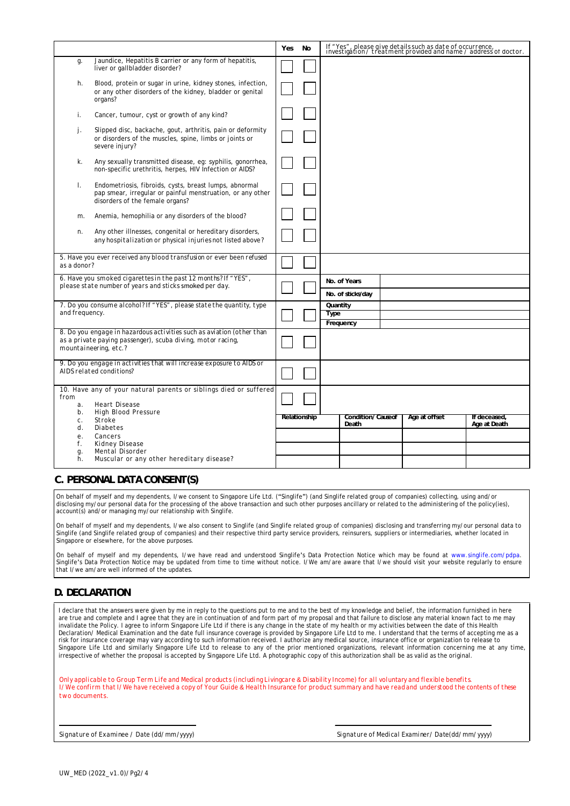|                              |                                                                                                                                                               | Yes          | No | If "Yes", please give details such as date of occurrence,<br>investigation / treatment provided and name / address of doctor. |
|------------------------------|---------------------------------------------------------------------------------------------------------------------------------------------------------------|--------------|----|-------------------------------------------------------------------------------------------------------------------------------|
| g.                           | Jaundice, Hepatitis B carrier or any form of hepatitis,<br>liver or gallbladder disorder?                                                                     |              |    |                                                                                                                               |
| h.                           | Blood, protein or sugar in urine, kidney stones, infection,<br>or any other disorders of the kidney, bladder or genital<br>organs?                            |              |    |                                                                                                                               |
| i.                           | Cancer, tumour, cyst or growth of any kind?                                                                                                                   |              |    |                                                                                                                               |
| j.                           | Slipped disc, backache, gout, arthritis, pain or deformity<br>or disorders of the muscles, spine, limbs or joints or<br>severe injury?                        |              |    |                                                                                                                               |
| k.                           | Any sexually transmitted disease, eg: syphilis, gonorrhea,<br>non-specific urethritis, herpes, HIV Infection or AIDS?                                         |              |    |                                                                                                                               |
| Τ.                           | Endometriosis, fibroids, cysts, breast lumps, abnormal<br>pap smear, irregular or painful menstruation, or any other<br>disorders of the female organs?       |              |    |                                                                                                                               |
| m.                           | Anemia, hemophilia or any disorders of the blood?                                                                                                             |              |    |                                                                                                                               |
| n.                           | Any other illnesses, congenital or hereditary disorders,<br>any hospitalization or physical injuries not listed above?                                        |              |    |                                                                                                                               |
| as a donor?                  | 5. Have you ever received any blood transfusion or ever been refused                                                                                          |              |    |                                                                                                                               |
|                              | 6. Have you smoked cigarettes in the past 12 months? If "YES",<br>please state number of years and sticks smoked per day.                                     |              |    | No. of Years<br>No. of sticks/day                                                                                             |
| and frequency.               | 7. Do you consume alcohol? If "YES", please state the quantity, type                                                                                          |              |    | Quantity<br>Type<br>Frequency                                                                                                 |
|                              | 8. Do you engage in hazardous activities such as aviation (other than<br>as a private paying passenger), scuba diving, motor racing,<br>mountaineering, etc.? |              |    |                                                                                                                               |
|                              | 9. Do you engage in activities that will increase exposure to AIDS or<br>AIDS related conditions?                                                             |              |    |                                                                                                                               |
| from<br>a <sub>z</sub><br>b. | 10. Have any of your natural parents or siblings died or suffered<br><b>Heart Disease</b><br><b>High Blood Pressure</b>                                       |              |    |                                                                                                                               |
| c.<br>d.                     | <b>Stroke</b><br><b>Diabetes</b>                                                                                                                              | Relationship |    | <b>Condition/Causeof</b><br>Age at offset<br>If deceased.<br>Death<br>Age at Death                                            |
| e.<br>f.                     | Cancers<br><b>Kidney Disease</b>                                                                                                                              |              |    |                                                                                                                               |
| q.<br>h.                     | <b>Mental Disorder</b><br>Muscular or any other hereditary disease?                                                                                           |              |    |                                                                                                                               |
|                              |                                                                                                                                                               |              |    |                                                                                                                               |

#### **C. PERSONAL DATA CONSENT(S)**

On behalf of myself and my dependents, I/we consent to Singapore Life Ltd. ("Singlife") (and Singlife related group of companies) collecting, using and/or disclosing my/our personal data for the processing of the above transaction and such other purposes ancillary or related to the administering of the policy(ies), account(s) and/or managing my/our relationship with Singlife.

On behalf of myself and my dependents, I/we also consent to Singlife (and Singlife related group of companies) disclosing and transferring my/our personal data to inglife (and Singlife related group of companies) and their respective third party service providers, reinsurers, suppliers or intermediaries, whether located in<br>ingapore or elsewhere, for the above purposes. Singlife (and Singlife related group of companies) and their respective third party service providers, reinsurers, suppliers or intermediaries, whether located in Singapore or elsewhere, for the above purposes.

On behalf of myself and my dependents, I/we have read and understood Singlife's Data Protection Notice which may be found at www.singlife.com/pdpa. Singlife's Data Protection Notice may be updated from time to time without notice. I/We am/are aware that I/we should visit your website regularly to ensure that I/we am/are well informed of the updates.

#### **D. DECLARATION**

I declare that the answers were given by me in reply to the questions put to me and to the best of my knowledge and belief, the information furnished in here<br>are true and complete and I agree that they are in continuation invalidate the Policy. I agree to inform Singapore Life Ltd if there is any change in the state of my health or my activities between the date of this Health Declaration/ Medical Examination and the date full insurance coverage is provided by Singapore Life Ltd to me. I understand that the terms of accepting me as a risk for insurance coverage may vary according to such information received. I authorize any medical source, insurance office or organization to release to Singapore Life Ltd and similarly Singapore Life Ltd to release to any of the prior mentioned organizations, relevant information concerning me at any time, irrespective of whether the proposal is accepted by Singapore Life Ltd. A photographic copy of this authorization shall be as valid as the original.

Only applicable to Group Term Life and Medical products (including Livingcare & Disability Income) for all voluntary and flexible benefits. I/We confirm thatI/We have received a copy of Your Guide & Health Insurance for product summary and have readand understood the contents of these two documents.

\_\_\_\_\_\_\_\_\_ \_\_\_\_\_\_\_\_\_\_\_\_\_\_\_\_\_\_\_\_\_\_\_\_\_\_\_\_\_ \_\_\_\_\_\_\_\_\_ \_\_\_\_\_\_\_\_\_\_\_\_\_\_\_\_\_\_\_\_\_\_\_\_\_\_\_\_\_\_\_\_\_\_\_

Signature of Examinee / Date (dd/mm/yyyy) **Signature of Medical Examiner/ Date(dd/mm/yyyy**)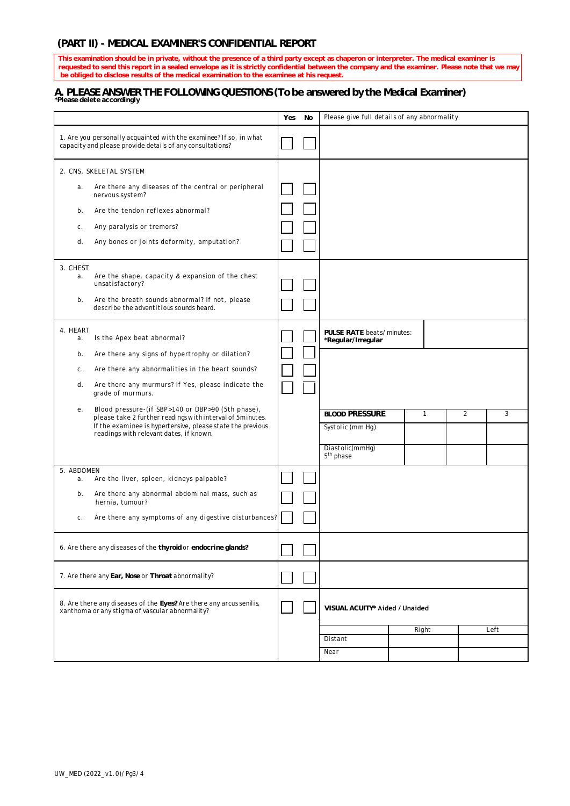#### **(PART II) ‐ MEDICAL EXAMINER'S CONFIDENTIAL REPORT**

**This examination should be in private, without the presence of a third party except as chaperon or interpreter. The medical examiner is requested to send this report in a sealed envelope as it is strictly confidential between the company and the examiner. Please note that we may be obliged to disclose results of the medical examination to the examinee at his request.**

# **A. PLEASE ANSWER THE FOLLOWING QUESTIONS (To be answered by the Medical Examiner) \*Please delete accordingly**

|                                                                                                                                 | Yes<br>No | Please give full details of any abnormality |
|---------------------------------------------------------------------------------------------------------------------------------|-----------|---------------------------------------------|
| 1. Are you personally acquainted with the examinee? If so, in what<br>capacity and please provide details of any consultations? |           |                                             |
| 2. CNS, SKELETAL SYSTEM                                                                                                         |           |                                             |
| Are there any diseases of the central or peripheral<br>а.<br>nervous system?                                                    |           |                                             |
|                                                                                                                                 |           |                                             |

| b.                   | Are the tendon reflexes abnormal?                                                                                                                                |  |                                                 |       |              |                |      |
|----------------------|------------------------------------------------------------------------------------------------------------------------------------------------------------------|--|-------------------------------------------------|-------|--------------|----------------|------|
| С.                   | Any paralysis or tremors?                                                                                                                                        |  |                                                 |       |              |                |      |
| d.                   | Any bones or joints deformity, amputation?                                                                                                                       |  |                                                 |       |              |                |      |
| 3. CHEST<br>a.<br>b. | Are the shape, capacity & expansion of the chest<br>unsatisfactory?<br>Are the breath sounds abnormal? If not, please<br>describe the adventitious sounds heard. |  |                                                 |       |              |                |      |
| 4. HEART<br>а.       | Is the Apex beat abnormal?                                                                                                                                       |  | PULSE RATE beats/minutes:<br>*Regular/Irregular |       |              |                |      |
| b.                   | Are there any signs of hypertrophy or dilation?                                                                                                                  |  |                                                 |       |              |                |      |
| $c_{\cdot}$          | Are there any abnormalities in the heart sounds?                                                                                                                 |  |                                                 |       |              |                |      |
| d.                   | Are there any murmurs? If Yes, please indicate the<br>grade of murmurs.                                                                                          |  |                                                 |       |              |                |      |
| e.                   | Blood pressure-(if SBP>140 or DBP>90 (5th phase),<br>please take 2 further readings with interval of 5minutes.                                                   |  | <b>BLOOD PRESSURE</b>                           |       | $\mathbf{1}$ | $\overline{2}$ | 3    |
|                      | If the examinee is hypertensive, please state the previous<br>readings with relevant dates, if known.                                                            |  | Systolic (mm Hg)                                |       |              |                |      |
|                      |                                                                                                                                                                  |  | Diastolic(mmHg)<br>5 <sup>th</sup> phase        |       |              |                |      |
| 5. ABDOMEN           |                                                                                                                                                                  |  |                                                 |       |              |                |      |
| а.                   | Are the liver, spleen, kidneys palpable?                                                                                                                         |  |                                                 |       |              |                |      |
| b.                   | Are there any abnormal abdominal mass, such as<br>hernia, tumour?                                                                                                |  |                                                 |       |              |                |      |
| C.                   | Are there any symptoms of any digestive disturbances?                                                                                                            |  |                                                 |       |              |                |      |
|                      | 6. Are there any diseases of the thyroid or endocrine glands?                                                                                                    |  |                                                 |       |              |                |      |
|                      | 7. Are there any Ear, Nose or Throat abnormality?                                                                                                                |  |                                                 |       |              |                |      |
|                      | 8. Are there any diseases of the Eyes? Are there any arcus senilis,<br>xanthoma or any stigma of vascular abnormality?                                           |  | VISUAL ACUITY* Aided / Unaided                  |       |              |                |      |
|                      |                                                                                                                                                                  |  |                                                 | Right |              |                | Left |
|                      |                                                                                                                                                                  |  | Distant                                         |       |              |                |      |
|                      |                                                                                                                                                                  |  | Near                                            |       |              |                |      |